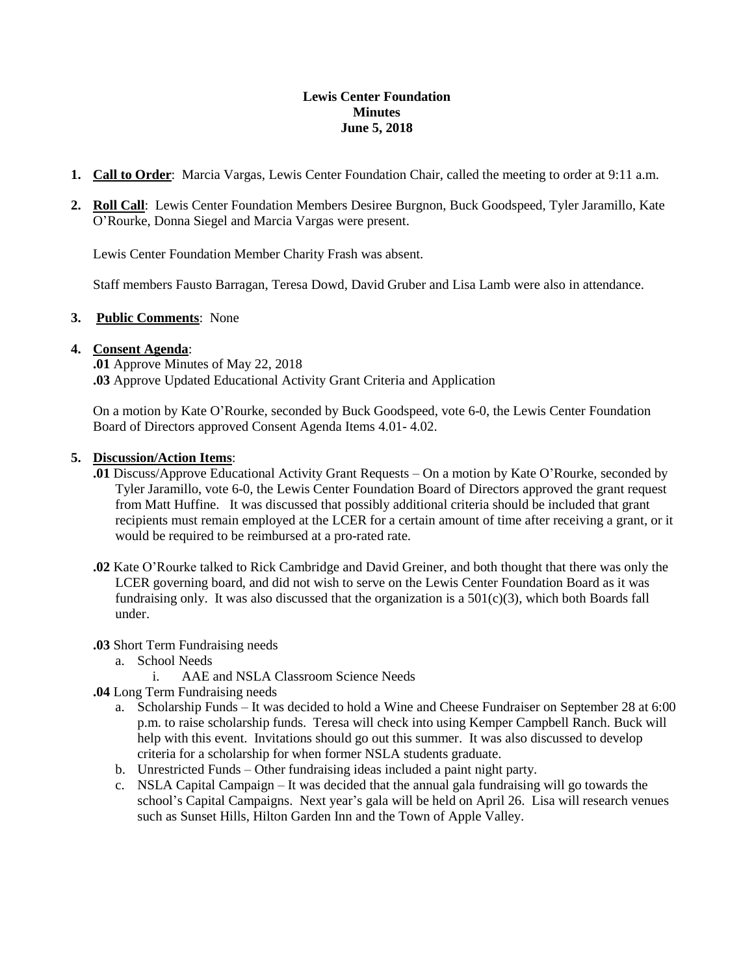#### **Lewis Center Foundation Minutes June 5, 2018**

- **1. Call to Order**: Marcia Vargas, Lewis Center Foundation Chair, called the meeting to order at 9:11 a.m.
- **2. Roll Call**: Lewis Center Foundation Members Desiree Burgnon, Buck Goodspeed, Tyler Jaramillo, Kate O'Rourke, Donna Siegel and Marcia Vargas were present.

Lewis Center Foundation Member Charity Frash was absent.

Staff members Fausto Barragan, Teresa Dowd, David Gruber and Lisa Lamb were also in attendance.

### **3. Public Comments**: None

#### **4. Consent Agenda**:

**.01** Approve Minutes of May 22, 2018 **.03** Approve Updated Educational Activity Grant Criteria and Application

On a motion by Kate O'Rourke, seconded by Buck Goodspeed, vote 6-0, the Lewis Center Foundation Board of Directors approved Consent Agenda Items 4.01- 4.02.

#### **5. Discussion/Action Items**:

- **.01** Discuss/Approve Educational Activity Grant Requests On a motion by Kate O'Rourke, seconded by Tyler Jaramillo, vote 6-0, the Lewis Center Foundation Board of Directors approved the grant request from Matt Huffine. It was discussed that possibly additional criteria should be included that grant recipients must remain employed at the LCER for a certain amount of time after receiving a grant, or it would be required to be reimbursed at a pro-rated rate.
- **.02** Kate O'Rourke talked to Rick Cambridge and David Greiner, and both thought that there was only the LCER governing board, and did not wish to serve on the Lewis Center Foundation Board as it was fundraising only. It was also discussed that the organization is a  $501(c)(3)$ , which both Boards fall under.

#### **.03** Short Term Fundraising needs

- a. School Needs
	- i. AAE and NSLA Classroom Science Needs
- **.04** Long Term Fundraising needs
	- a. Scholarship Funds It was decided to hold a Wine and Cheese Fundraiser on September 28 at 6:00 p.m. to raise scholarship funds. Teresa will check into using Kemper Campbell Ranch. Buck will help with this event. Invitations should go out this summer. It was also discussed to develop criteria for a scholarship for when former NSLA students graduate.
	- b. Unrestricted Funds Other fundraising ideas included a paint night party.
	- c. NSLA Capital Campaign It was decided that the annual gala fundraising will go towards the school's Capital Campaigns. Next year's gala will be held on April 26. Lisa will research venues such as Sunset Hills, Hilton Garden Inn and the Town of Apple Valley.